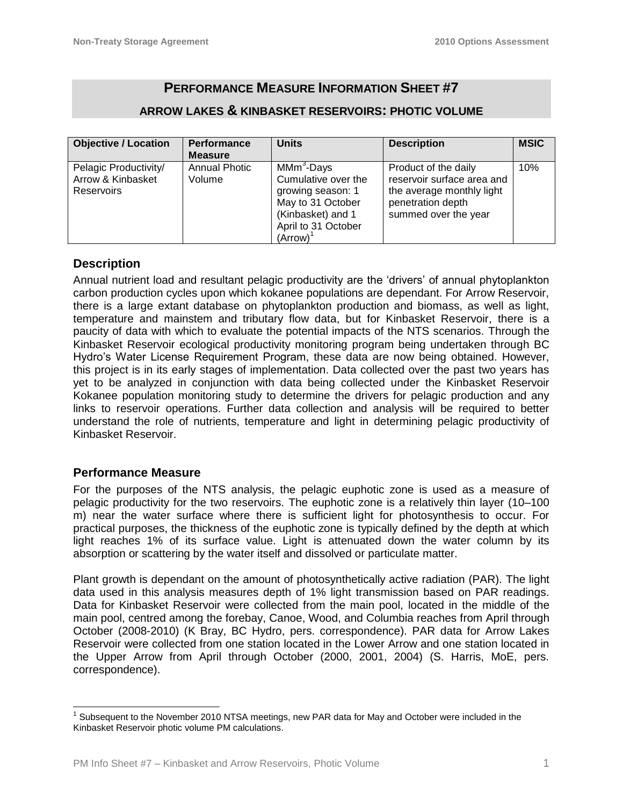# **PERFORMANCE MEASURE INFORMATION SHEET #7**

# **ARROW LAKES & KINBASKET RESERVOIRS: PHOTIC VOLUME**

| <b>Objective / Location</b>                                     | Performance                    | <b>Units</b>                                                                                                                                                | <b>Description</b>                                                                                                           | <b>MSIC</b> |
|-----------------------------------------------------------------|--------------------------------|-------------------------------------------------------------------------------------------------------------------------------------------------------------|------------------------------------------------------------------------------------------------------------------------------|-------------|
|                                                                 | <b>Measure</b>                 |                                                                                                                                                             |                                                                                                                              |             |
| Pelagic Productivity/<br>Arrow & Kinbasket<br><b>Reservoirs</b> | <b>Annual Photic</b><br>Volume | MMm <sup>3</sup> -Days<br>Cumulative over the<br>growing season: 1<br>May to 31 October<br>(Kinbasket) and 1<br>April to 31 October<br>(Arrow) <sup>1</sup> | Product of the daily<br>reservoir surface area and<br>the average monthly light<br>penetration depth<br>summed over the year | 10%         |

### **Description**

Annual nutrient load and resultant pelagic productivity are the 'drivers' of annual phytoplankton carbon production cycles upon which kokanee populations are dependant. For Arrow Reservoir, there is a large extant database on phytoplankton production and biomass, as well as light, temperature and mainstem and tributary flow data, but for Kinbasket Reservoir, there is a paucity of data with which to evaluate the potential impacts of the NTS scenarios. Through the Kinbasket Reservoir ecological productivity monitoring program being undertaken through BC Hydro's Water License Requirement Program, these data are now being obtained. However, this project is in its early stages of implementation. Data collected over the past two years has yet to be analyzed in conjunction with data being collected under the Kinbasket Reservoir Kokanee population monitoring study to determine the drivers for pelagic production and any links to reservoir operations. Further data collection and analysis will be required to better understand the role of nutrients, temperature and light in determining pelagic productivity of Kinbasket Reservoir.

#### **Performance Measure**

 $\overline{a}$ 

For the purposes of the NTS analysis, the pelagic euphotic zone is used as a measure of pelagic productivity for the two reservoirs. The euphotic zone is a relatively thin layer (10–100 m) near the water surface where there is sufficient light for photosynthesis to occur. For practical purposes, the thickness of the euphotic zone is typically defined by the depth at which light reaches 1% of its surface value. Light is attenuated down the water column by its absorption or scattering by the water itself and dissolved or particulate matter.

Plant growth is dependant on the amount of photosynthetically active radiation (PAR). The light data used in this analysis measures depth of 1% light transmission based on PAR readings. Data for Kinbasket Reservoir were collected from the main pool, located in the middle of the main pool, centred among the forebay, Canoe, Wood, and Columbia reaches from April through October (2008-2010) (K Bray, BC Hydro, pers. correspondence). PAR data for Arrow Lakes Reservoir were collected from one station located in the Lower Arrow and one station located in the Upper Arrow from April through October (2000, 2001, 2004) (S. Harris, MoE, pers. correspondence).

 $1$  Subsequent to the November 2010 NTSA meetings, new PAR data for May and October were included in the Kinbasket Reservoir photic volume PM calculations.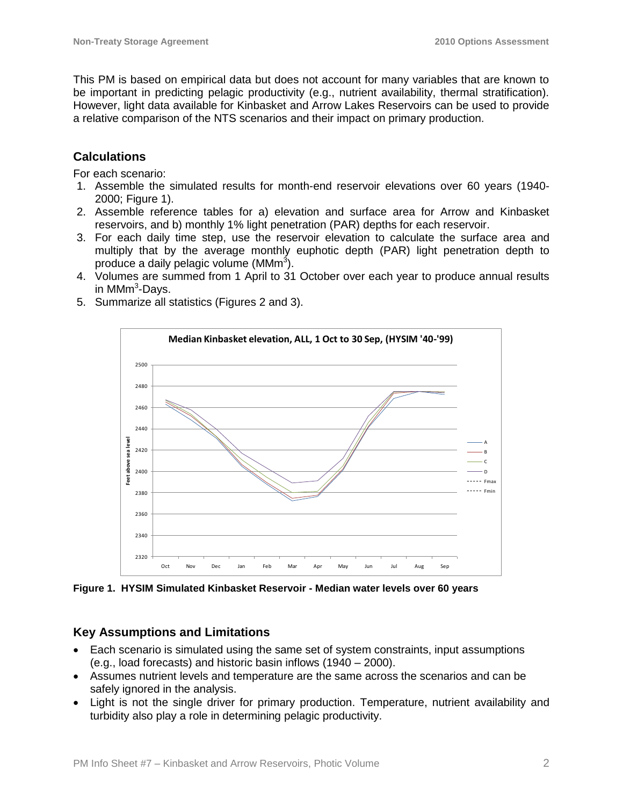This PM is based on empirical data but does not account for many variables that are known to be important in predicting pelagic productivity (e.g., nutrient availability, thermal stratification). However, light data available for Kinbasket and Arrow Lakes Reservoirs can be used to provide a relative comparison of the NTS scenarios and their impact on primary production.

## **Calculations**

For each scenario:

- 1. Assemble the simulated results for month-end reservoir elevations over 60 years (1940- 2000; Figure 1).
- 2. Assemble reference tables for a) elevation and surface area for Arrow and Kinbasket reservoirs, and b) monthly 1% light penetration (PAR) depths for each reservoir.
- 3. For each daily time step, use the reservoir elevation to calculate the surface area and multiply that by the average monthly euphotic depth (PAR) light penetration depth to produce a daily pelagic volume (MMm $^3$ ).
- 4. Volumes are summed from 1 April to 31 October over each year to produce annual results in MMm<sup>3</sup>-Days.
- 5. Summarize all statistics (Figures 2 and 3).



**Figure 1. HYSIM Simulated Kinbasket Reservoir - Median water levels over 60 years**

### **Key Assumptions and Limitations**

- Each scenario is simulated using the same set of system constraints, input assumptions (e.g., load forecasts) and historic basin inflows (1940 – 2000).
- Assumes nutrient levels and temperature are the same across the scenarios and can be safely ignored in the analysis.
- Light is not the single driver for primary production. Temperature, nutrient availability and turbidity also play a role in determining pelagic productivity.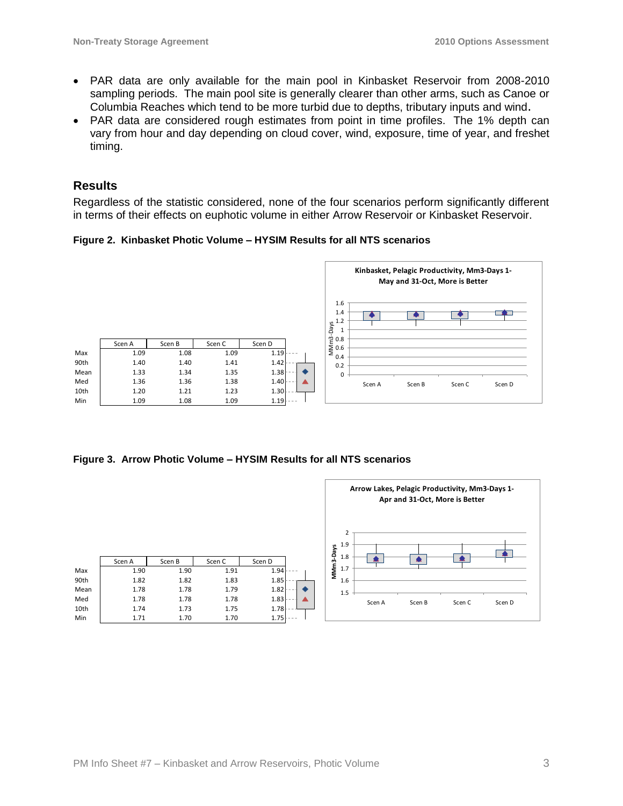- PAR data are only available for the main pool in Kinbasket Reservoir from 2008-2010 sampling periods. The main pool site is generally clearer than other arms, such as Canoe or Columbia Reaches which tend to be more turbid due to depths, tributary inputs and wind.
- PAR data are considered rough estimates from point in time profiles. The 1% depth can vary from hour and day depending on cloud cover, wind, exposure, time of year, and freshet timing.

#### **Results**

Regardless of the statistic considered, none of the four scenarios perform significantly different in terms of their effects on euphotic volume in either Arrow Reservoir or Kinbasket Reservoir.

**Figure 2. Kinbasket Photic Volume – HYSIM Results for all NTS scenarios**



**Figure 3. Arrow Photic Volume – HYSIM Results for all NTS scenarios**